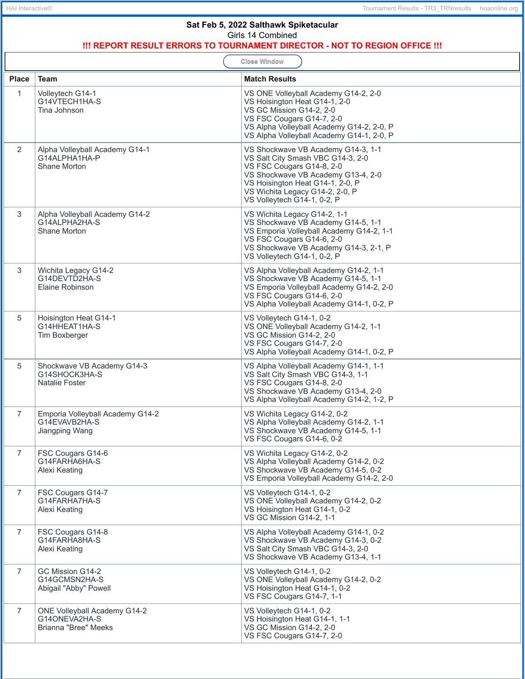| Sat Feb 5, 2022 Salthawk Spiketacular<br>Girls 14 Combined<br>!!! REPORT RESULT ERRORS TO TOURNAMENT DIRECTOR - NOT TO REGION OFFICE !!! |                                                                              |                                                                                                                                                                                                                                                  |  |  |  |
|------------------------------------------------------------------------------------------------------------------------------------------|------------------------------------------------------------------------------|--------------------------------------------------------------------------------------------------------------------------------------------------------------------------------------------------------------------------------------------------|--|--|--|
| <b>Close Window</b>                                                                                                                      |                                                                              |                                                                                                                                                                                                                                                  |  |  |  |
| <b>Place</b>                                                                                                                             | <b>Team</b>                                                                  | <b>Match Results</b>                                                                                                                                                                                                                             |  |  |  |
| $\mathbf{1}$                                                                                                                             | Volleytech G14-1<br>G14VTECH1HA-S<br>Tina Johnson                            | VS ONE Volleyball Academy G14-2, 2-0<br>VS Hoisington Heat G14-1, 2-0<br>VS GC Mission G14-2, 2-0<br>VS FSC Cougars G14-7, 2-0<br>VS Alpha Volleyball Academy G14-2, 2-0, P<br>VS Alpha Volleyball Academy G14-1, 2-0, P                         |  |  |  |
| $\overline{2}$                                                                                                                           | Alpha Volleyball Academy G14-1<br>G14ALPHA1HA-P<br>Shane Morton              | VS Shockwave VB Academy G14-3, 1-1<br>VS Salt City Smash VBC G14-3, 2-0<br>VS FSC Cougars G14-8, 2-0<br>VS Shockwave VB Academy G13-4, 2-0<br>VS Hoisington Heat G14-1, 2-0, P<br>VS Wichita Legacy G14-2, 2-0, P<br>VS Volleytech G14-1, 0-2, P |  |  |  |
| 3                                                                                                                                        | Alpha Volleyball Academy G14-2<br>G14ALPHA2HA-S<br>Shane Morton              | VS Wichita Legacy G14-2, 1-1<br>VS Shockwave VB Academy G14-5, 1-1<br>VS Emporia Volleyball Academy G14-2, 1-1<br>VS FSC Cougars G14-6, 2-0<br>VS Shockwave VB Academy G14-3, 2-1, P<br>VS Volleytech G14-1, 0-2, P                              |  |  |  |
| 3                                                                                                                                        | Wichita Legacy G14-2<br>G14DEVTD2HA-S<br>Elaine Robinson                     | VS Alpha Volleyball Academy G14-2, 1-1<br>VS Shockwave VB Academy G14-5, 1-1<br>VS Emporia Volleyball Academy G14-2, 2-0<br>VS FSC Cougars G14-6, 2-0<br>VS Alpha Volleyball Academy G14-1, 0-2, P                                               |  |  |  |
| 5                                                                                                                                        | Hoisington Heat G14-1<br>G14HHEAT1HA-S<br>Tim Boxberger                      | VS Volleytech G14-1, 0-2<br>VS ONE Volleyball Academy G14-2, 1-1<br>VS GC Mission G14-2, 2-0<br>VS FSC Cougars G14-7, 2-0<br>VS Alpha Volleyball Academy G14-1, 0-2, P                                                                           |  |  |  |
| 5                                                                                                                                        | Shockwave VB Academy G14-3<br>G14SHOCK3HA-S<br>Natalie Foster                | VS Alpha Volleyball Academy G14-1, 1-1<br>VS Salt City Smash VBC G14-3, 1-1<br>VS FSC Cougars G14-8, 2-0<br>VS Shockwave VB Academy G13-4, 2-0<br>VS Alpha Volleyball Academy G14-2, 1-2, P                                                      |  |  |  |
| $\overline{7}$                                                                                                                           | Emporia Volleyball Academy G14-2<br>G14EVAVB2HA-S<br>Jiangping Wang          | VS Wichita Legacy G14-2, 0-2<br>VS Alpha Volleyball Academy G14-2, 1-1<br>VS Shockwave VB Academy G14-5, 1-1<br>VS FSC Cougars G14-6, 0-2                                                                                                        |  |  |  |
| $\overline{7}$                                                                                                                           | FSC Cougars G14-6<br>G14FARHA6HA-S<br>Alexi Keating                          | VS Wichita Legacy G14-2, 0-2<br>VS Alpha Volleyball Academy G14-2, 0-2<br>VS Shockwave VB Academy G14-5, 0-2<br>VS Emporia Volleyball Academy G14-2, 2-0                                                                                         |  |  |  |
| $\overline{7}$                                                                                                                           | FSC Cougars G14-7<br>G14FARHA7HA-S<br>Alexi Keating                          | VS Volleytech G14-1, 0-2<br>VS ONE Volleyball Academy G14-2, 0-2<br>VS Hoisington Heat G14-1, 0-2<br>VS GC Mission G14-2, 1-1                                                                                                                    |  |  |  |
| $\overline{7}$                                                                                                                           | FSC Cougars G14-8<br>G14FARHA8HA-S<br>Alexi Keating                          | VS Alpha Volleyball Academy G14-1, 0-2<br>VS Shockwave VB Academy G14-3, 0-2<br>VS Salt City Smash VBC G14-3, 2-0<br>VS Shockwave VB Academy G13-4, 1-1                                                                                          |  |  |  |
| $\overline{7}$                                                                                                                           | GC Mission G14-2<br>G14GCMSN2HA-S<br>Abigail "Abby" Powell                   | VS Volleytech G14-1, 0-2<br>VS ONE Volleyball Academy G14-2, 0-2<br>VS Hoisington Heat G14-1, 0-2<br>VS FSC Cougars G14-7, 1-1                                                                                                                   |  |  |  |
| $\overline{7}$                                                                                                                           | <b>ONE Volleyball Academy G14-2</b><br>G14ONEVA2HA-S<br>Brianna "Bree" Meeks | VS Volleytech G14-1, 0-2<br>VS Hoisington Heat G14-1, 1-1<br>VS GC Mission G14-2, 2-0<br>VS FSC Cougars G14-7, 2-0                                                                                                                               |  |  |  |